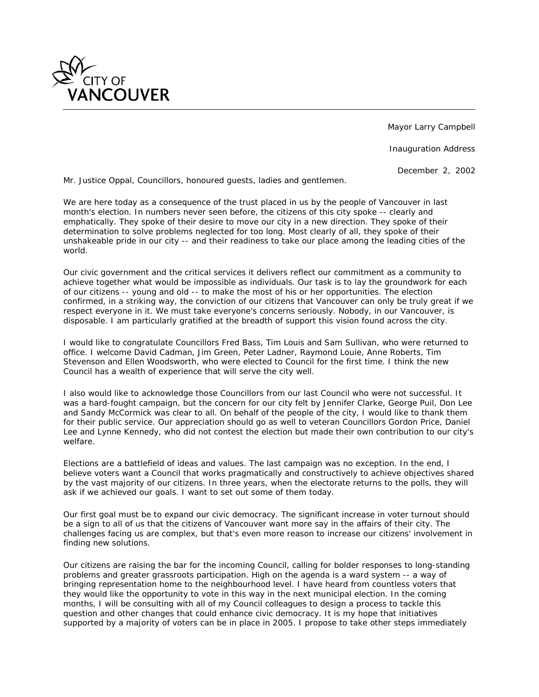

Mayor Larry Campbell

Inauguration Address

December 2, 2002

*Mr. Justice Oppal, Councillors, honoured guests, ladies and gentlemen.*

*We are here today as a consequence of the trust placed in us by the people of Vancouver in last month's election. In numbers never seen before, the citizens of this city spoke -- clearly and emphatically. They spoke of their desire to move our city in a new direction. They spoke of their determination to solve problems neglected for too long. Most clearly of all, they spoke of their unshakeable pride in our city -- and their readiness to take our place among the leading cities of the world.*

*Our civic government and the critical services it delivers reflect our commitment as a community to achieve together what would be impossible as individuals. Our task is to lay the groundwork for each of our citizens -- young and old -- to make the most of his or her opportunities. The election confirmed, in a striking way, the conviction of our citizens that Vancouver can only be truly great if we respect everyone in it. We must take everyone's concerns seriously. Nobody, in our Vancouver, is disposable. I am particularly gratified at the breadth of support this vision found across the city.*

*I would like to congratulate Councillors Fred Bass, Tim Louis and Sam Sullivan, who were returned to office. I welcome David Cadman, Jim Green, Peter Ladner, Raymond Louie, Anne Roberts, Tim Stevenson and Ellen Woodsworth, who were elected to Council for the first time. I think the new Council has a wealth of experience that will serve the city well.*

*I also would like to acknowledge those Councillors from our last Council who were not successful. It was a hard-fought campaign, but the concern for our city felt by Jennifer Clarke, George Puil, Don Lee and Sandy McCormick was clear to all. On behalf of the people of the city, I would like to thank them for their public service. Our appreciation should go as well to veteran Councillors Gordon Price, Daniel Lee and Lynne Kennedy, who did not contest the election but made their own contribution to our city's welfare.*

*Elections are a battlefield of ideas and values. The last campaign was no exception. In the end, I believe voters want a Council that works pragmatically and constructively to achieve objectives shared by the vast majority of our citizens. In three years, when the electorate returns to the polls, they will ask if we achieved our goals. I want to set out some of them today.*

*Our first goal must be to expand our civic democracy. The significant increase in voter turnout should be a sign to all of us that the citizens of Vancouver want more say in the affairs of their city. The challenges facing us are complex, but that's even more reason to increase our citizens' involvement in finding new solutions.*

*Our citizens are raising the bar for the incoming Council, calling for bolder responses to long-standing problems and greater grassroots participation. High on the agenda is a ward system -- a way of bringing representation home to the neighbourhood level. I have heard from countless voters that they would like the opportunity to vote in this way in the next municipal election. In the coming months, I will be consulting with all of my Council colleagues to design a process to tackle this question and other changes that could enhance civic democracy. It is my hope that initiatives supported by a majority of voters can be in place in 2005. I propose to take other steps immediately*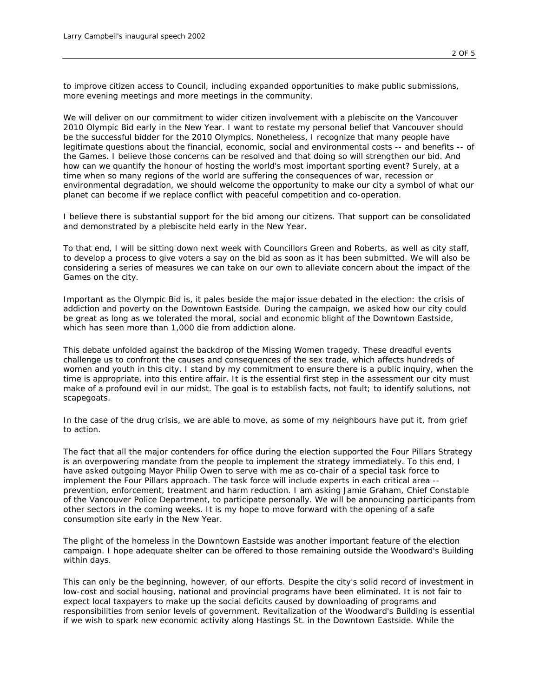*to improve citizen access to Council, including expanded opportunities to make public submissions, more evening meetings and more meetings in the community.*

*We will deliver on our commitment to wider citizen involvement with a plebiscite on the Vancouver 2010 Olympic Bid early in the New Year. I want to restate my personal belief that Vancouver should be the successful bidder for the 2010 Olympics. Nonetheless, I recognize that many people have legitimate questions about the financial, economic, social and environmental costs -- and benefits -- of the Games. I believe those concerns can be resolved and that doing so will strengthen our bid. And how can we quantify the honour of hosting the world's most important sporting event? Surely, at a time when so many regions of the world are suffering the consequences of war, recession or environmental degradation, we should welcome the opportunity to make our city a symbol of what our planet can become if we replace conflict with peaceful competition and co-operation.*

*I believe there is substantial support for the bid among our citizens. That support can be consolidated and demonstrated by a plebiscite held early in the New Year.*

*To that end, I will be sitting down next week with Councillors Green and Roberts, as well as city staff, to develop a process to give voters a say on the bid as soon as it has been submitted. We will also be considering a series of measures we can take on our own to alleviate concern about the impact of the Games on the city.*

*Important as the Olympic Bid is, it pales beside the major issue debated in the election: the crisis of addiction and poverty on the Downtown Eastside. During the campaign, we asked how our city could*  be great as long as we tolerated the moral, social and economic blight of the Downtown Eastside, *which has seen more than 1,000 die from addiction alone.*

*This debate unfolded against the backdrop of the Missing Women tragedy. These dreadful events challenge us to confront the causes and consequences of the sex trade, which affects hundreds of women and youth in this city. I stand by my commitment to ensure there is a public inquiry, when the time is appropriate, into this entire affair. It is the essential first step in the assessment our city must make of a profound evil in our midst. The goal is to establish facts, not fault; to identify solutions, not scapegoats.*

In the case of the drug crisis, we are able to move, as some of my neighbours have put it, from grief *to action.*

*The fact that all the major contenders for office during the election supported the Four Pillars Strategy is an overpowering mandate from the people to implement the strategy immediately. To this end, I have asked outgoing Mayor Philip Owen to serve with me as co-chair of a special task force to implement the Four Pillars approach. The task force will include experts in each critical area - prevention, enforcement, treatment and harm reduction. I am asking Jamie Graham, Chief Constable of the Vancouver Police Department, to participate personally. We will be announcing participants from other sectors in the coming weeks. It is my hope to move forward with the opening of a safe consumption site early in the New Year.*

*The plight of the homeless in the Downtown Eastside was another important feature of the election campaign. I hope adequate shelter can be offered to those remaining outside the Woodward's Building within days.*

*This can only be the beginning, however, of our efforts. Despite the city's solid record of investment in low-cost and social housing, national and provincial programs have been eliminated. It is not fair to expect local taxpayers to make up the social deficits caused by downloading of programs and responsibilities from senior levels of government. Revitalization of the Woodward's Building is essential if we wish to spark new economic activity along Hastings St. in the Downtown Eastside. While the*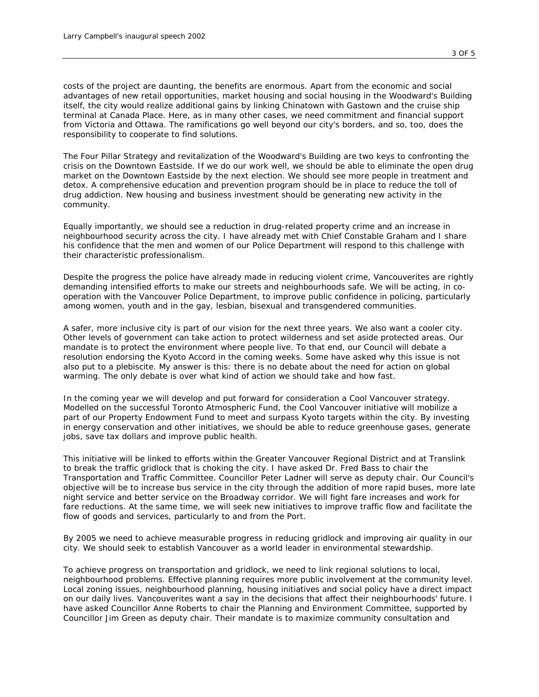*costs of the project are daunting, the benefits are enormous. Apart from the economic and social advantages of new retail opportunities, market housing and social housing in the Woodward's Building itself, the city would realize additional gains by linking Chinatown with Gastown and the cruise ship terminal at Canada Place. Here, as in many other cases, we need commitment and financial support from Victoria and Ottawa. The ramifications go well beyond our city's borders, and so, too, does the responsibility to cooperate to find solutions.*

*The Four Pillar Strategy and revitalization of the Woodward's Building are two keys to confronting the crisis on the Downtown Eastside. If we do our work well, we should be able to eliminate the open drug market on the Downtown Eastside by the next election. We should see more people in treatment and*  detox. A comprehensive education and prevention program should be in place to reduce the toll of *drug addiction. New housing and business investment should be generating new activity in the community.*

*Equally importantly, we should see a reduction in drug-related property crime and an increase in neighbourhood security across the city. I have already met with Chief Constable Graham and I share his confidence that the men and women of our Police Department will respond to this challenge with their characteristic professionalism.*

*Despite the progress the police have already made in reducing violent crime, Vancouverites are rightly demanding intensified efforts to make our streets and neighbourhoods safe. We will be acting, in cooperation with the Vancouver Police Department, to improve public confidence in policing, particularly among women, youth and in the gay, lesbian, bisexual and transgendered communities.*

*A safer, more inclusive city is part of our vision for the next three years. We also want a cooler city. Other levels of government can take action to protect wilderness and set aside protected areas. Our mandate is to protect the environment where people live. To that end, our Council will debate a resolution endorsing the Kyoto Accord in the coming weeks. Some have asked why this issue is not also put to a plebiscite. My answer is this: there is no debate about the need for action on global warming. The only debate is over what kind of action we should take and how fast.*

*In the coming year we will develop and put forward for consideration a Cool Vancouver strategy. Modelled on the successful Toronto Atmospheric Fund, the Cool Vancouver initiative will mobilize a part of our Property Endowment Fund to meet and surpass Kyoto targets within the city. By investing in energy conservation and other initiatives, we should be able to reduce greenhouse gases, generate jobs, save tax dollars and improve public health.*

*This initiative will be linked to efforts within the Greater Vancouver Regional District and at Translink to break the traffic gridlock that is choking the city. I have asked Dr. Fred Bass to chair the Transportation and Traffic Committee. Councillor Peter Ladner will serve as deputy chair. Our Council's objective will be to increase bus service in the city through the addition of more rapid buses, more late night service and better service on the Broadway corridor. We will fight fare increases and work for fare reductions. At the same time, we will seek new initiatives to improve traffic flow and facilitate the flow of goods and services, particularly to and from the Port.*

*By 2005 we need to achieve measurable progress in reducing gridlock and improving air quality in our city. We should seek to establish Vancouver as a world leader in environmental stewardship.*

*To achieve progress on transportation and gridlock, we need to link regional solutions to local, neighbourhood problems. Effective planning requires more public involvement at the community level. Local zoning issues, neighbourhood planning, housing initiatives and social policy have a direct impact on our daily lives. Vancouverites want a say in the decisions that affect their neighbourhoods' future. I have asked Councillor Anne Roberts to chair the Planning and Environment Committee, supported by Councillor Jim Green as deputy chair. Their mandate is to maximize community consultation and*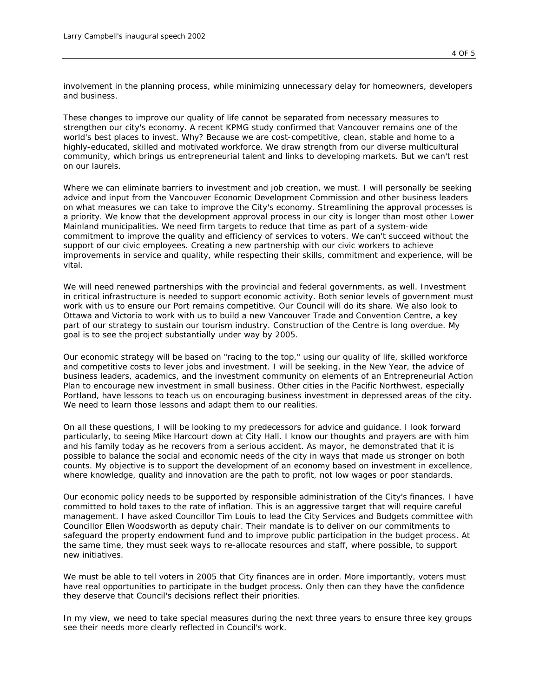*involvement in the planning process, while minimizing unnecessary delay for homeowners, developers and business.*

*These changes to improve our quality of life cannot be separated from necessary measures to strengthen our city's economy. A recent KPMG study confirmed that Vancouver remains one of the world's best places to invest. Why? Because we are cost-competitive, clean, stable and home to a highly-educated, skilled and motivated workforce. We draw strength from our diverse multicultural community, which brings us entrepreneurial talent and links to developing markets. But we can't rest on our laurels.*

*Where we can eliminate barriers to investment and job creation, we must. I will personally be seeking advice and input from the Vancouver Economic Development Commission and other business leaders on what measures we can take to improve the City's economy. Streamlining the approval processes is a priority. We know that the development approval process in our city is longer than most other Lower Mainland municipalities. We need firm targets to reduce that time as part of a system-wide commitment to improve the quality and efficiency of services to voters. We can't succeed without the support of our civic employees. Creating a new partnership with our civic workers to achieve improvements in service and quality, while respecting their skills, commitment and experience, will be vital.*

We will need renewed partnerships with the provincial and federal governments, as well. Investment *in critical infrastructure is needed to support economic activity. Both senior levels of government must work with us to ensure our Port remains competitive. Our Council will do its share. We also look to Ottawa and Victoria to work with us to build a new Vancouver Trade and Convention Centre, a key part of our strategy to sustain our tourism industry. Construction of the Centre is long overdue. My goal is to see the project substantially under way by 2005.*

*Our economic strategy will be based on "racing to the top," using our quality of life, skilled workforce*  and competitive costs to lever jobs and investment. I will be seeking, in the New Year, the advice of *business leaders, academics, and the investment community on elements of an Entrepreneurial Action Plan to encourage new investment in small business. Other cities in the Pacific Northwest, especially Portland, have lessons to teach us on encouraging business investment in depressed areas of the city. We need to learn those lessons and adapt them to our realities.*

*On all these questions, I will be looking to my predecessors for advice and guidance. I look forward particularly, to seeing Mike Harcourt down at City Hall. I know our thoughts and prayers are with him and his family today as he recovers from a serious accident. As mayor, he demonstrated that it is possible to balance the social and economic needs of the city in ways that made us stronger on both counts. My objective is to support the development of an economy based on investment in excellence, where knowledge, quality and innovation are the path to profit, not low wages or poor standards.*

*Our economic policy needs to be supported by responsible administration of the City's finances. I have committed to hold taxes to the rate of inflation. This is an aggressive target that will require careful management. I have asked Councillor Tim Louis to lead the City Services and Budgets committee with Councillor Ellen Woodsworth as deputy chair. Their mandate is to deliver on our commitments to safeguard the property endowment fund and to improve public participation in the budget process. At the same time, they must seek ways to re-allocate resources and staff, where possible, to support new initiatives.*

*We must be able to tell voters in 2005 that City finances are in order. More importantly, voters must have real opportunities to participate in the budget process. Only then can they have the confidence they deserve that Council's decisions reflect their priorities.*

*In my view, we need to take special measures during the next three years to ensure three key groups see their needs more clearly reflected in Council's work.*